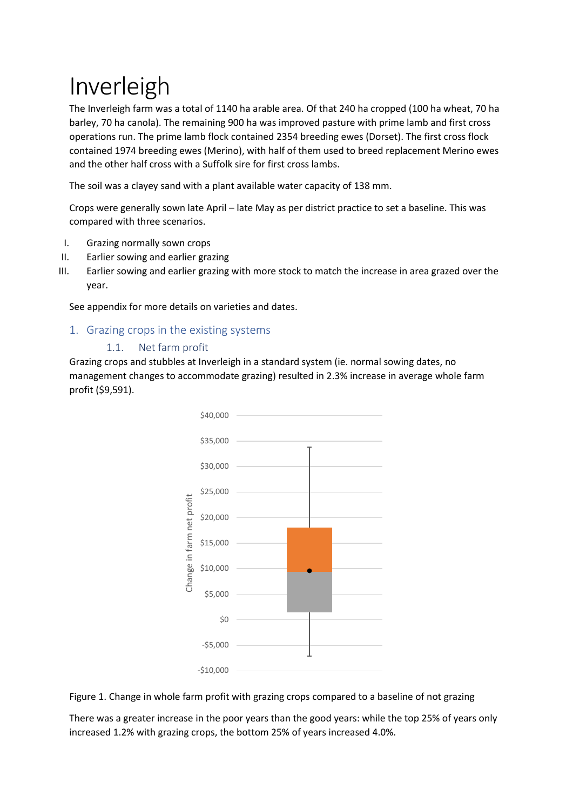# Inverleigh

The Inverleigh farm was a total of 1140 ha arable area. Of that 240 ha cropped (100 ha wheat, 70 ha barley, 70 ha canola). The remaining 900 ha was improved pasture with prime lamb and first cross operations run. The prime lamb flock contained 2354 breeding ewes (Dorset). The first cross flock contained 1974 breeding ewes (Merino), with half of them used to breed replacement Merino ewes and the other half cross with a Suffolk sire for first cross lambs.

The soil was a clayey sand with a plant available water capacity of 138 mm.

Crops were generally sown late April – late May as per district practice to set a baseline. This was compared with three scenarios.

- I. Grazing normally sown crops
- II. Earlier sowing and earlier grazing
- III. Earlier sowing and earlier grazing with more stock to match the increase in area grazed over the year.

See appendix for more details on varieties and dates.

# 1. Grazing crops in the existing systems

# 1.1. Net farm profit

Grazing crops and stubbles at Inverleigh in a standard system (ie. normal sowing dates, no management changes to accommodate grazing) resulted in 2.3% increase in average whole farm profit (\$9,591).





There was a greater increase in the poor years than the good years: while the top 25% of years only increased 1.2% with grazing crops, the bottom 25% of years increased 4.0%.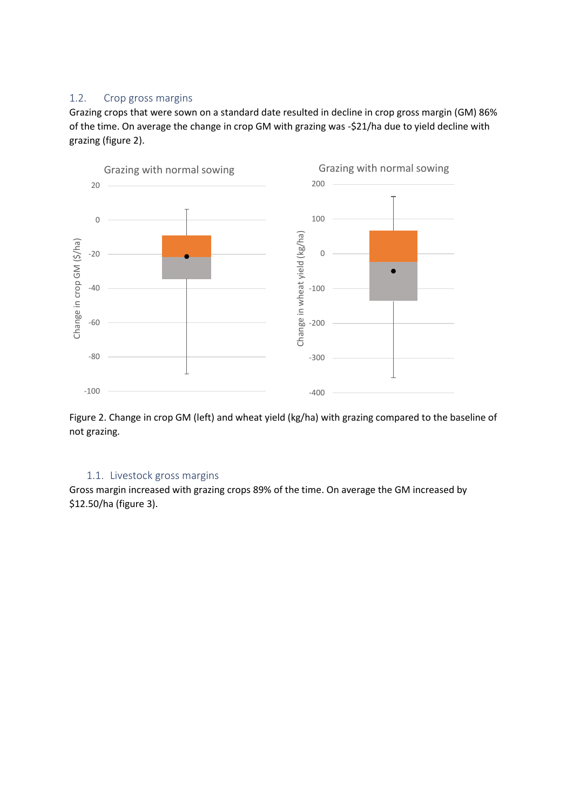# 1.2. Crop gross margins

Grazing crops that were sown on a standard date resulted in decline in crop gross margin (GM) 86% of the time. On average the change in crop GM with grazing was -\$21/ha due to yield decline with grazing (figure 2).



Figure 2. Change in crop GM (left) and wheat yield (kg/ha) with grazing compared to the baseline of not grazing.

# 1.1. Livestock gross margins

Gross margin increased with grazing crops 89% of the time. On average the GM increased by \$12.50/ha (figure 3).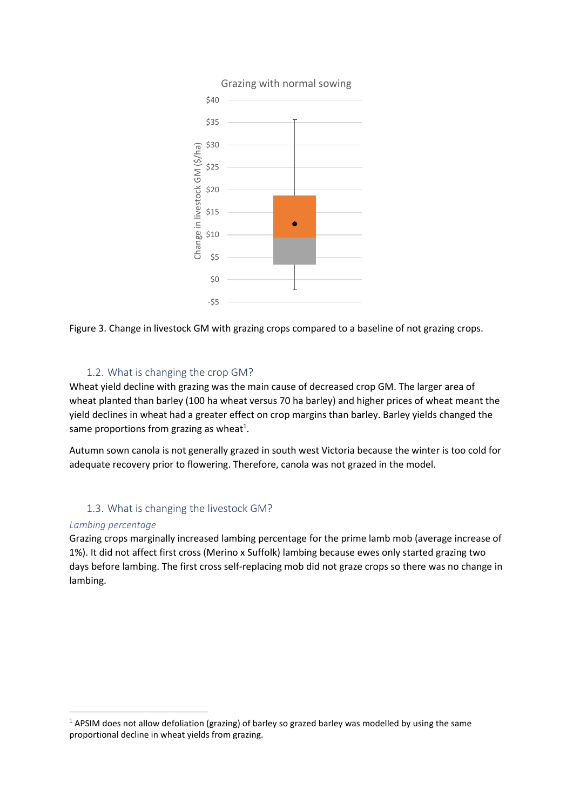

Figure 3. Change in livestock GM with grazing crops compared to a baseline of not grazing crops.

# 1.2. What is changing the crop GM?

Wheat yield decline with grazing was the main cause of decreased crop GM. The larger area of wheat planted than barley (100 ha wheat versus 70 ha barley) and higher prices of wheat meant the yield declines in wheat had a greater effect on crop margins than barley. Barley yields changed the same proportions from grazing as wheat<sup>1</sup>.

Autumn sown canola is not generally grazed in south west Victoria because the winter is too cold for adequate recovery prior to flowering. Therefore, canola was not grazed in the model.

# 1.3. What is changing the livestock GM?

#### *Lambing percentage*

**.** 

Grazing crops marginally increased lambing percentage for the prime lamb mob (average increase of 1%). It did not affect first cross (Merino x Suffolk) lambing because ewes only started grazing two days before lambing. The first cross self-replacing mob did not graze crops so there was no change in lambing.

<sup>&</sup>lt;sup>1</sup> APSIM does not allow defoliation (grazing) of barley so grazed barley was modelled by using the same proportional decline in wheat yields from grazing.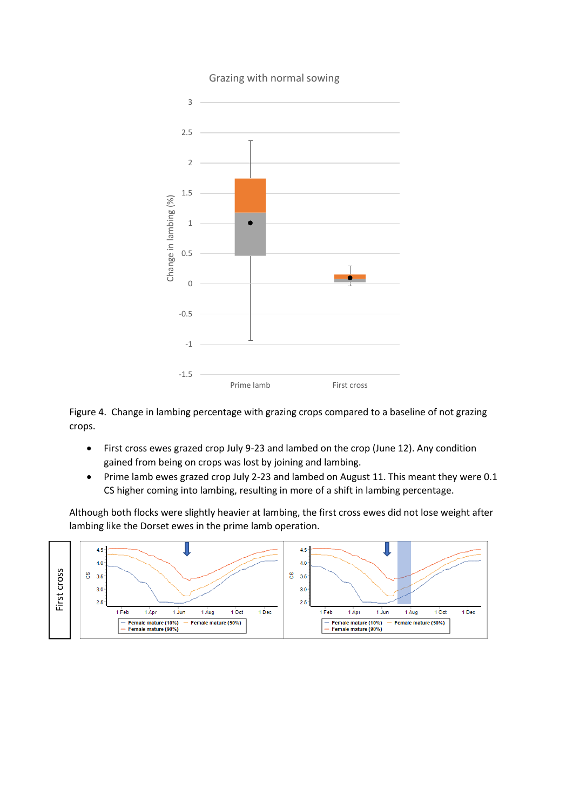

# Grazing with normal sowing

Figure 4. Change in lambing percentage with grazing crops compared to a baseline of not grazing crops.

- First cross ewes grazed crop July 9-23 and lambed on the crop (June 12). Any condition gained from being on crops was lost by joining and lambing.
- Prime lamb ewes grazed crop July 2-23 and lambed on August 11. This meant they were 0.1 CS higher coming into lambing, resulting in more of a shift in lambing percentage.

Although both flocks were slightly heavier at lambing, the first cross ewes did not lose weight after lambing like the Dorset ewes in the prime lamb operation.

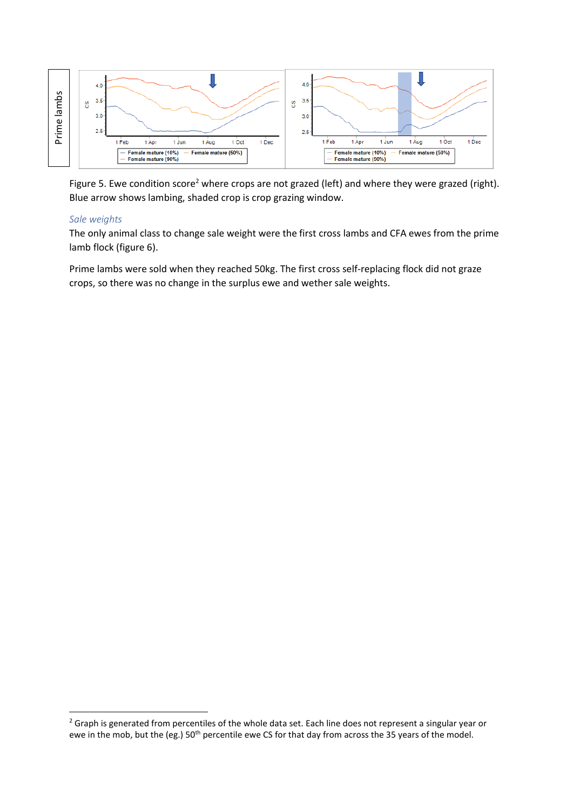

Figure 5. Ewe condition score<sup>2</sup> where crops are not grazed (left) and where they were grazed (right). Blue arrow shows lambing, shaded crop is crop grazing window.

#### *Sale weights*

**.** 

The only animal class to change sale weight were the first cross lambs and CFA ewes from the prime lamb flock (figure 6).

Prime lambs were sold when they reached 50kg. The first cross self-replacing flock did not graze crops, so there was no change in the surplus ewe and wether sale weights.

<sup>&</sup>lt;sup>2</sup> Graph is generated from percentiles of the whole data set. Each line does not represent a singular year or ewe in the mob, but the (eg.) 50<sup>th</sup> percentile ewe CS for that day from across the 35 years of the model.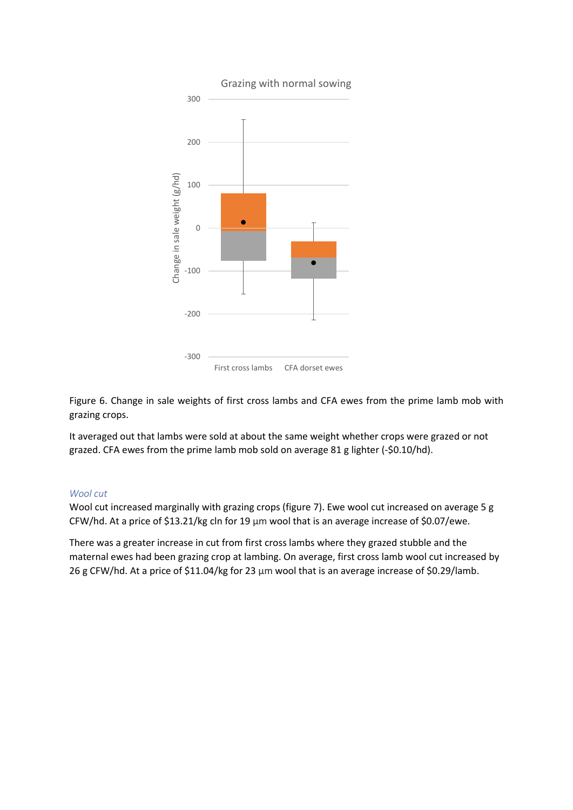

Figure 6. Change in sale weights of first cross lambs and CFA ewes from the prime lamb mob with grazing crops.

It averaged out that lambs were sold at about the same weight whether crops were grazed or not grazed. CFA ewes from the prime lamb mob sold on average 81 g lighter (-\$0.10/hd).

#### *Wool cut*

Wool cut increased marginally with grazing crops (figure 7). Ewe wool cut increased on average 5 g CFW/hd. At a price of \$13.21/kg cln for 19 μm wool that is an average increase of \$0.07/ewe.

There was a greater increase in cut from first cross lambs where they grazed stubble and the maternal ewes had been grazing crop at lambing. On average, first cross lamb wool cut increased by 26 g CFW/hd. At a price of \$11.04/kg for 23 μm wool that is an average increase of \$0.29/lamb.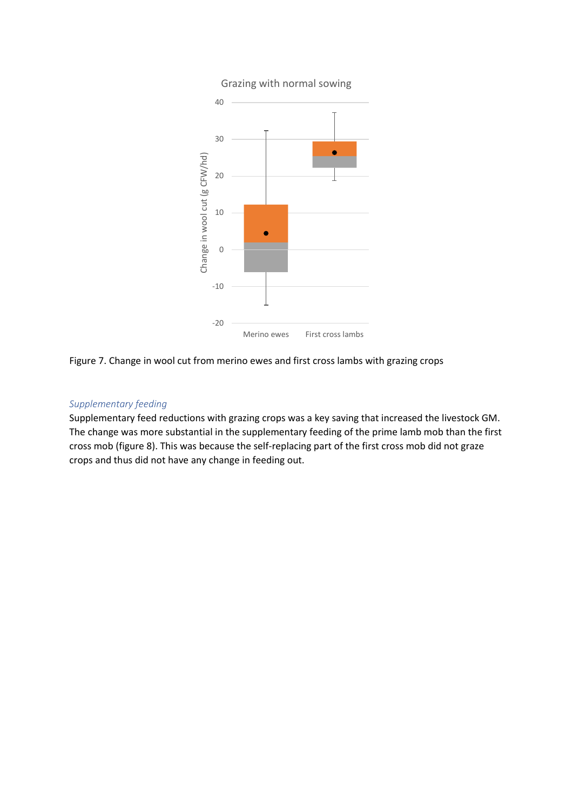

# Figure 7. Change in wool cut from merino ewes and first cross lambs with grazing crops

#### *Supplementary feeding*

Supplementary feed reductions with grazing crops was a key saving that increased the livestock GM. The change was more substantial in the supplementary feeding of the prime lamb mob than the first cross mob (figure 8). This was because the self-replacing part of the first cross mob did not graze crops and thus did not have any change in feeding out.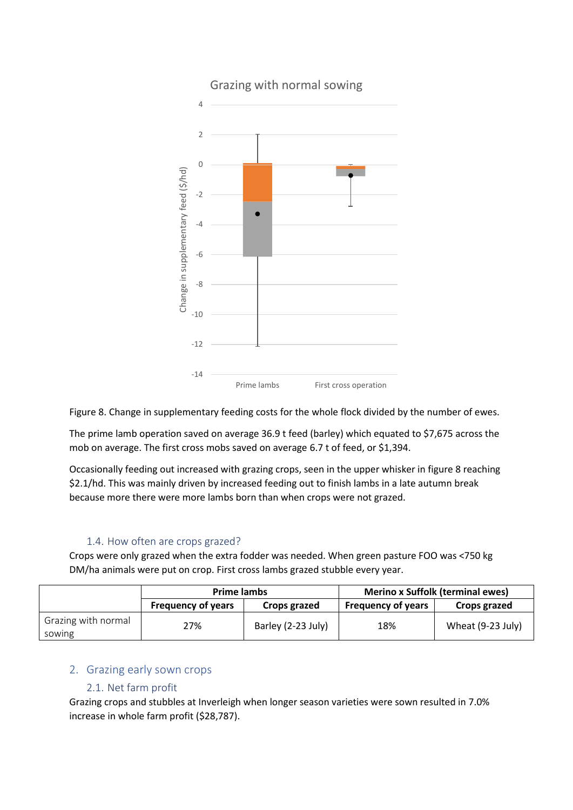

Grazing with normal sowing

Figure 8. Change in supplementary feeding costs for the whole flock divided by the number of ewes.

The prime lamb operation saved on average 36.9 t feed (barley) which equated to \$7,675 across the mob on average. The first cross mobs saved on average 6.7 t of feed, or \$1,394.

Occasionally feeding out increased with grazing crops, seen in the upper whisker in figure 8 reaching \$2.1/hd. This was mainly driven by increased feeding out to finish lambs in a late autumn break because more there were more lambs born than when crops were not grazed.

#### 1.4. How often are crops grazed?

Crops were only grazed when the extra fodder was needed. When green pasture FOO was <750 kg DM/ha animals were put on crop. First cross lambs grazed stubble every year.

|                               | <b>Prime lambs</b>        |                    | <b>Merino x Suffolk (terminal ewes)</b> |                   |
|-------------------------------|---------------------------|--------------------|-----------------------------------------|-------------------|
|                               | <b>Frequency of years</b> | Crops grazed       | <b>Frequency of years</b>               | Crops grazed      |
| Grazing with normal<br>sowing | 27%                       | Barley (2-23 July) | 18%                                     | Wheat (9-23 July) |

# 2. Grazing early sown crops

# 2.1. Net farm profit

Grazing crops and stubbles at Inverleigh when longer season varieties were sown resulted in 7.0% increase in whole farm profit (\$28,787).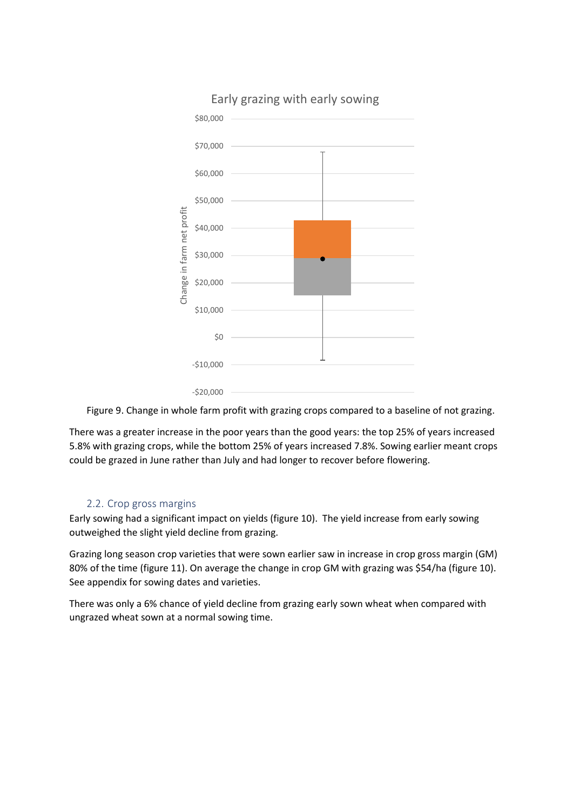

Figure 9. Change in whole farm profit with grazing crops compared to a baseline of not grazing.

There was a greater increase in the poor years than the good years: the top 25% of years increased 5.8% with grazing crops, while the bottom 25% of years increased 7.8%. Sowing earlier meant crops could be grazed in June rather than July and had longer to recover before flowering.

#### 2.2. Crop gross margins

Early sowing had a significant impact on yields (figure 10). The yield increase from early sowing outweighed the slight yield decline from grazing.

Grazing long season crop varieties that were sown earlier saw in increase in crop gross margin (GM) 80% of the time (figure 11). On average the change in crop GM with grazing was \$54/ha (figure 10). See appendix for sowing dates and varieties.

There was only a 6% chance of yield decline from grazing early sown wheat when compared with ungrazed wheat sown at a normal sowing time.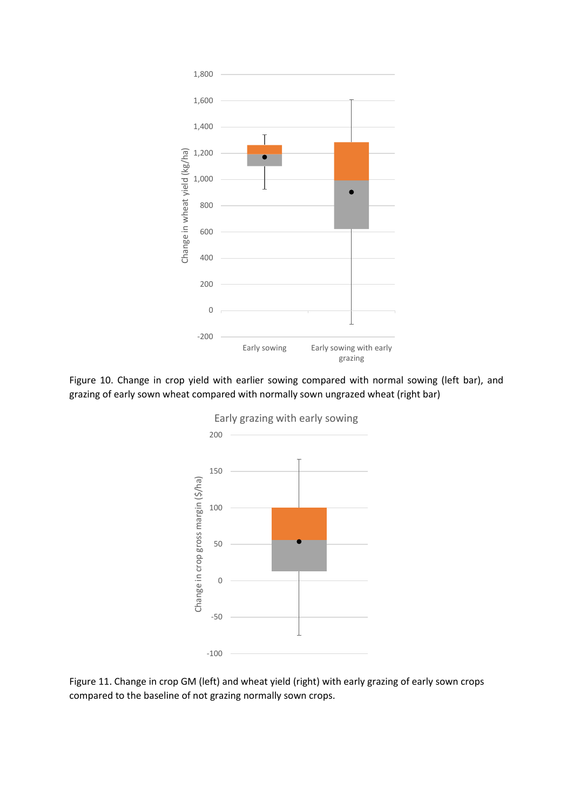

Figure 10. Change in crop yield with earlier sowing compared with normal sowing (left bar), and grazing of early sown wheat compared with normally sown ungrazed wheat (right bar)



Figure 11. Change in crop GM (left) and wheat yield (right) with early grazing of early sown crops compared to the baseline of not grazing normally sown crops.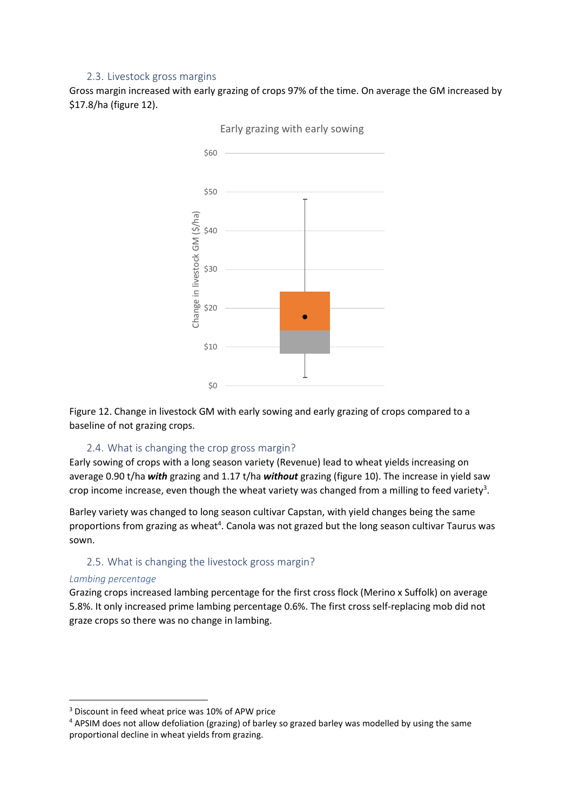# 2.3. Livestock gross margins

Gross margin increased with early grazing of crops 97% of the time. On average the GM increased by \$17.8/ha (figure 12).



Early grazing with early sowing

Figure 12. Change in livestock GM with early sowing and early grazing of crops compared to a baseline of not grazing crops.

#### 2.4. What is changing the crop gross margin?

Early sowing of crops with a long season variety (Revenue) lead to wheat yields increasing on average 0.90 t/ha *with* grazing and 1.17 t/ha *without* grazing (figure 10). The increase in yield saw crop income increase, even though the wheat variety was changed from a milling to feed variety<sup>3</sup>.

Barley variety was changed to long season cultivar Capstan, with yield changes being the same proportions from grazing as wheat<sup>4</sup>. Canola was not grazed but the long season cultivar Taurus was sown.

#### 2.5. What is changing the livestock gross margin?

#### *Lambing percentage*

**.** 

Grazing crops increased lambing percentage for the first cross flock (Merino x Suffolk) on average 5.8%. It only increased prime lambing percentage 0.6%. The first cross self-replacing mob did not graze crops so there was no change in lambing.

<sup>3</sup> Discount in feed wheat price was 10% of APW price

<sup>4</sup> APSIM does not allow defoliation (grazing) of barley so grazed barley was modelled by using the same proportional decline in wheat yields from grazing.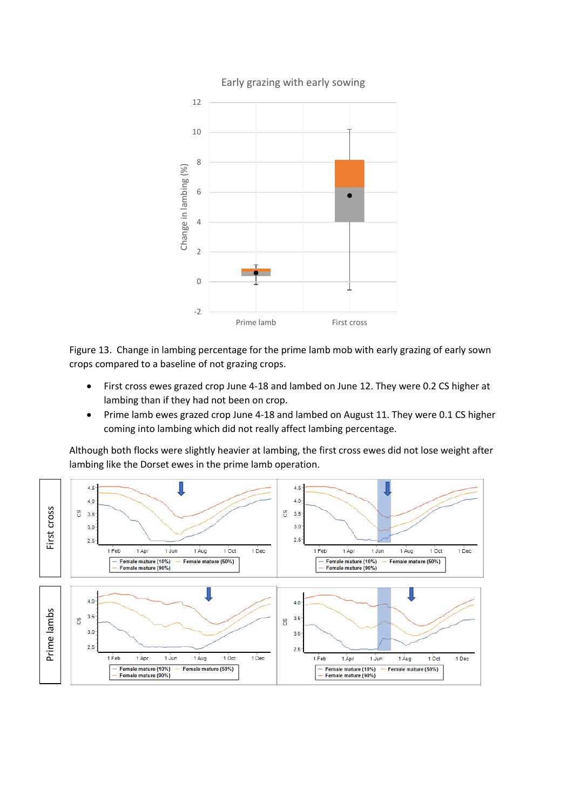

Figure 13. Change in lambing percentage for the prime lamb mob with early grazing of early sown crops compared to a baseline of not grazing crops.

- First cross ewes grazed crop June 4-18 and lambed on June 12. They were 0.2 CS higher at lambing than if they had not been on crop.
- Prime lamb ewes grazed crop June 4-18 and lambed on August 11. They were 0.1 CS higher coming into lambing which did not really affect lambing percentage.

Although both flocks were slightly heavier at lambing, the first cross ewes did not lose weight after lambing like the Dorset ewes in the prime lamb operation.

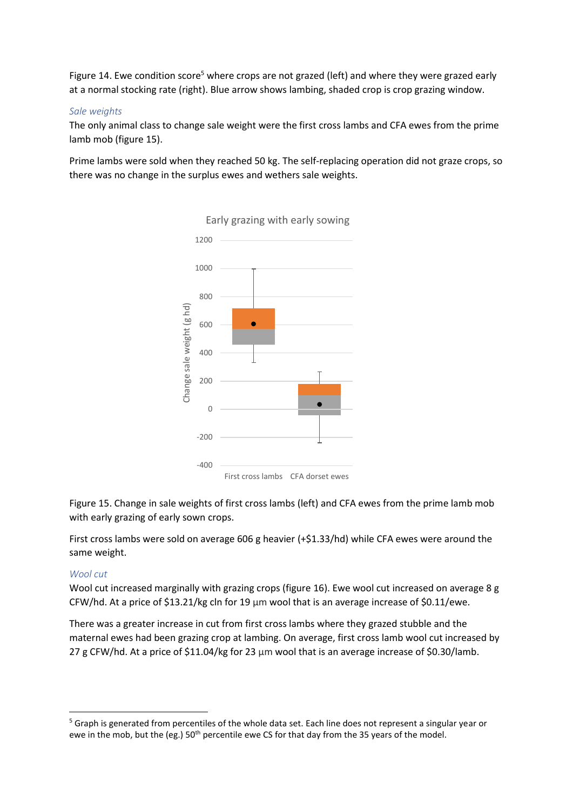Figure 14. Ewe condition score<sup>5</sup> where crops are not grazed (left) and where they were grazed early at a normal stocking rate (right). Blue arrow shows lambing, shaded crop is crop grazing window.

#### *Sale weights*

The only animal class to change sale weight were the first cross lambs and CFA ewes from the prime lamb mob (figure 15).

Prime lambs were sold when they reached 50 kg. The self-replacing operation did not graze crops, so there was no change in the surplus ewes and wethers sale weights.



Figure 15. Change in sale weights of first cross lambs (left) and CFA ewes from the prime lamb mob with early grazing of early sown crops.

First cross lambs were sold on average 606 g heavier (+\$1.33/hd) while CFA ewes were around the same weight.

#### *Wool cut*

**.** 

Wool cut increased marginally with grazing crops (figure 16). Ewe wool cut increased on average 8 g CFW/hd. At a price of \$13.21/kg cln for 19 μm wool that is an average increase of \$0.11/ewe.

There was a greater increase in cut from first cross lambs where they grazed stubble and the maternal ewes had been grazing crop at lambing. On average, first cross lamb wool cut increased by 27 g CFW/hd. At a price of \$11.04/kg for 23 μm wool that is an average increase of \$0.30/lamb.

<sup>&</sup>lt;sup>5</sup> Graph is generated from percentiles of the whole data set. Each line does not represent a singular year or ewe in the mob, but the (eg.) 50<sup>th</sup> percentile ewe CS for that day from the 35 years of the model.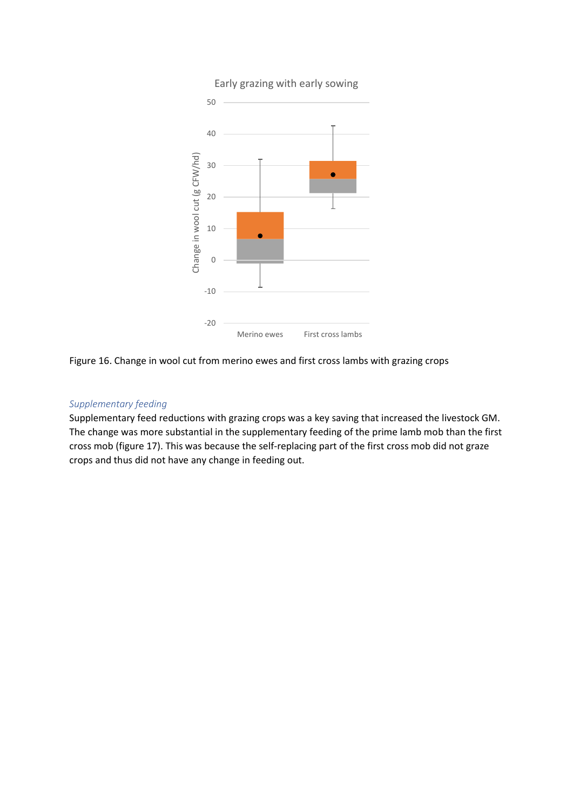

Figure 16. Change in wool cut from merino ewes and first cross lambs with grazing crops

#### *Supplementary feeding*

Supplementary feed reductions with grazing crops was a key saving that increased the livestock GM. The change was more substantial in the supplementary feeding of the prime lamb mob than the first cross mob (figure 17). This was because the self-replacing part of the first cross mob did not graze crops and thus did not have any change in feeding out.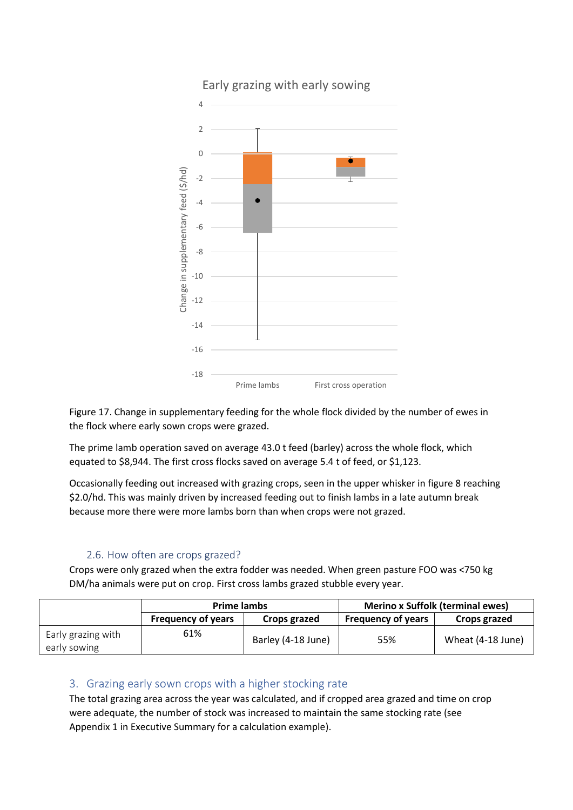

Early grazing with early sowing

Figure 17. Change in supplementary feeding for the whole flock divided by the number of ewes in the flock where early sown crops were grazed.

The prime lamb operation saved on average 43.0 t feed (barley) across the whole flock, which equated to \$8,944. The first cross flocks saved on average 5.4 t of feed, or \$1,123.

Occasionally feeding out increased with grazing crops, seen in the upper whisker in figure 8 reaching \$2.0/hd. This was mainly driven by increased feeding out to finish lambs in a late autumn break because more there were more lambs born than when crops were not grazed.

# 2.6. How often are crops grazed?

Crops were only grazed when the extra fodder was needed. When green pasture FOO was <750 kg DM/ha animals were put on crop. First cross lambs grazed stubble every year.

|                                    | <b>Prime lambs</b>        |                    | <b>Merino x Suffolk (terminal ewes)</b> |                   |
|------------------------------------|---------------------------|--------------------|-----------------------------------------|-------------------|
|                                    | <b>Frequency of years</b> | Crops grazed       | <b>Frequency of years</b>               | Crops grazed      |
| Early grazing with<br>early sowing | 61%                       | Barley (4-18 June) | 55%                                     | Wheat (4-18 June) |

# 3. Grazing early sown crops with a higher stocking rate

The total grazing area across the year was calculated, and if cropped area grazed and time on crop were adequate, the number of stock was increased to maintain the same stocking rate (see Appendix 1 in Executive Summary for a calculation example).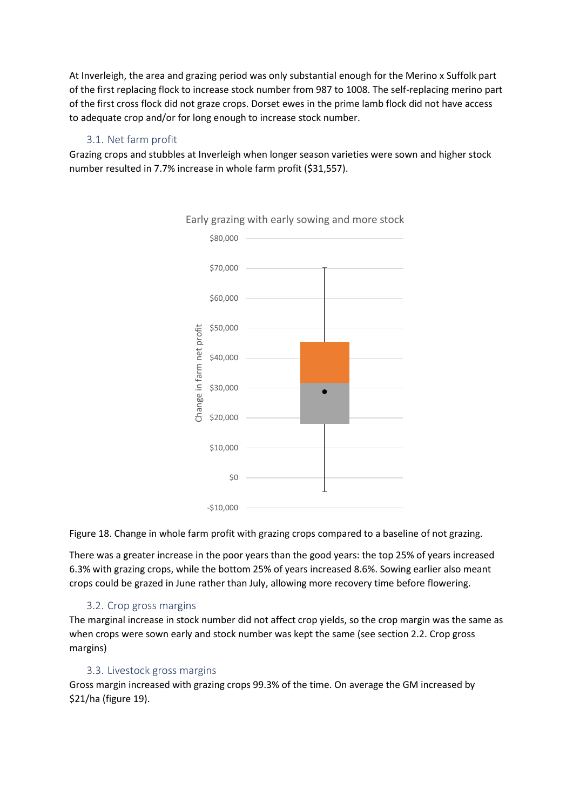At Inverleigh, the area and grazing period was only substantial enough for the Merino x Suffolk part of the first replacing flock to increase stock number from 987 to 1008. The self-replacing merino part of the first cross flock did not graze crops. Dorset ewes in the prime lamb flock did not have access to adequate crop and/or for long enough to increase stock number.

# 3.1. Net farm profit

Grazing crops and stubbles at Inverleigh when longer season varieties were sown and higher stock number resulted in 7.7% increase in whole farm profit (\$31,557).



Figure 18. Change in whole farm profit with grazing crops compared to a baseline of not grazing.

There was a greater increase in the poor years than the good years: the top 25% of years increased 6.3% with grazing crops, while the bottom 25% of years increased 8.6%. Sowing earlier also meant crops could be grazed in June rather than July, allowing more recovery time before flowering.

# 3.2. Crop gross margins

The marginal increase in stock number did not affect crop yields, so the crop margin was the same as when crops were sown early and stock number was kept the same (see section 2.2. Crop gross margins)

# 3.3. Livestock gross margins

Gross margin increased with grazing crops 99.3% of the time. On average the GM increased by \$21/ha (figure 19).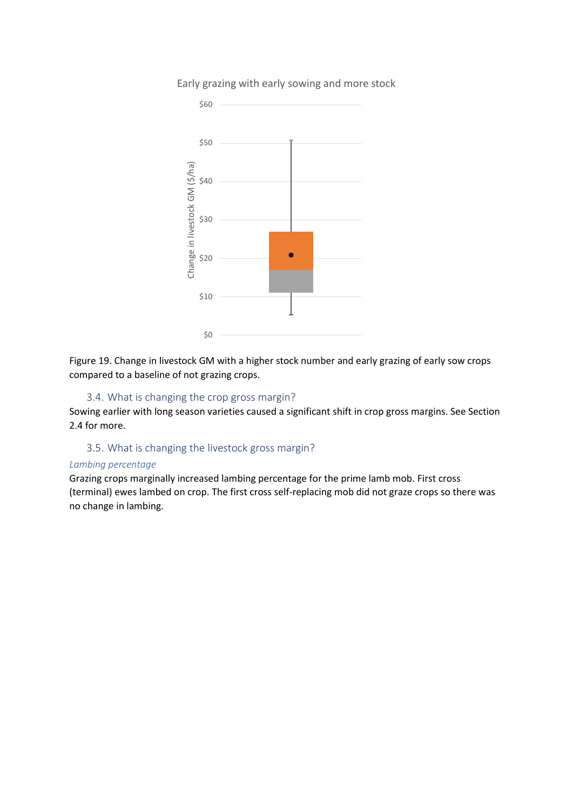

Early grazing with early sowing and more stock

Figure 19. Change in livestock GM with a higher stock number and early grazing of early sow crops compared to a baseline of not grazing crops.

#### 3.4. What is changing the crop gross margin?

Sowing earlier with long season varieties caused a significant shift in crop gross margins. See Section 2.4 for more.

# 3.5. What is changing the livestock gross margin?

#### *Lambing percentage*

Grazing crops marginally increased lambing percentage for the prime lamb mob. First cross (terminal) ewes lambed on crop. The first cross self-replacing mob did not graze crops so there was no change in lambing.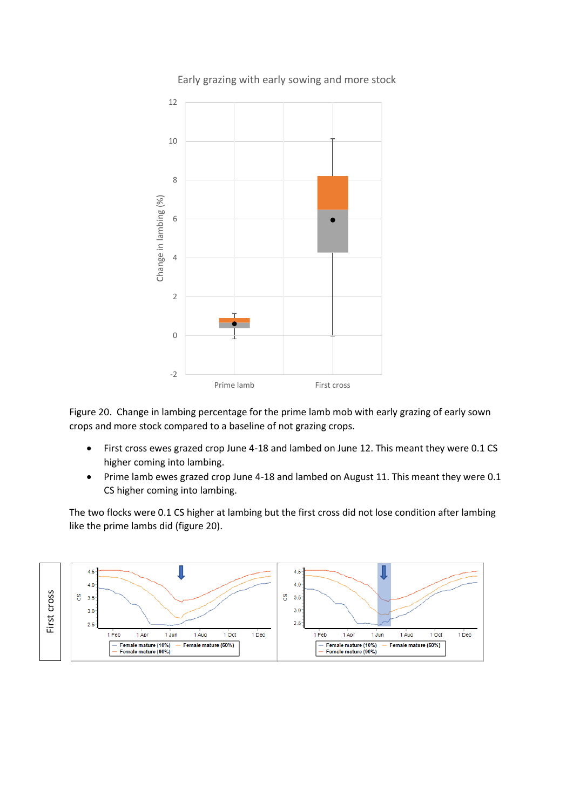

Figure 20. Change in lambing percentage for the prime lamb mob with early grazing of early sown crops and more stock compared to a baseline of not grazing crops.

- First cross ewes grazed crop June 4-18 and lambed on June 12. This meant they were 0.1 CS higher coming into lambing.
- Prime lamb ewes grazed crop June 4-18 and lambed on August 11. This meant they were 0.1 CS higher coming into lambing.

The two flocks were 0.1 CS higher at lambing but the first cross did not lose condition after lambing like the prime lambs did (figure 20).



Early grazing with early sowing and more stock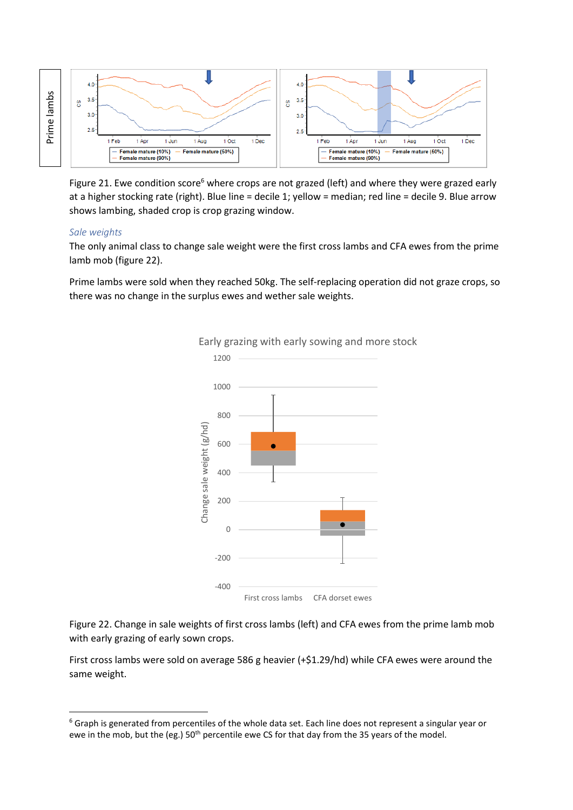

Figure 21. Ewe condition score<sup>6</sup> where crops are not grazed (left) and where they were grazed early at a higher stocking rate (right). Blue line = decile 1; yellow = median; red line = decile 9. Blue arrow shows lambing, shaded crop is crop grazing window.

#### *Sale weights*

**.** 

The only animal class to change sale weight were the first cross lambs and CFA ewes from the prime lamb mob (figure 22).

Prime lambs were sold when they reached 50kg. The self-replacing operation did not graze crops, so there was no change in the surplus ewes and wether sale weights.



Early grazing with early sowing and more stock

Figure 22. Change in sale weights of first cross lambs (left) and CFA ewes from the prime lamb mob with early grazing of early sown crops.

First cross lambs were sold on average 586 g heavier (+\$1.29/hd) while CFA ewes were around the same weight.

<sup>&</sup>lt;sup>6</sup> Graph is generated from percentiles of the whole data set. Each line does not represent a singular year or ewe in the mob, but the (eg.) 50<sup>th</sup> percentile ewe CS for that day from the 35 years of the model.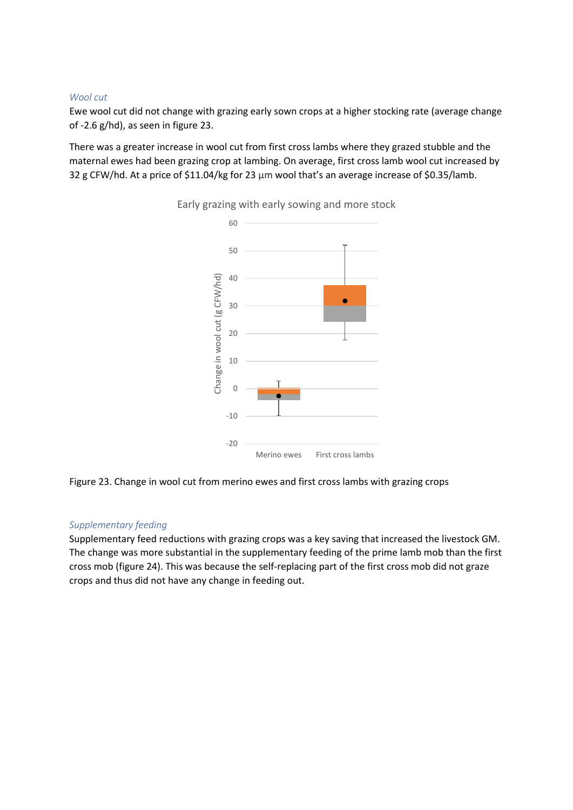#### *Wool cut*

Ewe wool cut did not change with grazing early sown crops at a higher stocking rate (average change of -2.6 g/hd), as seen in figure 23.

There was a greater increase in wool cut from first cross lambs where they grazed stubble and the maternal ewes had been grazing crop at lambing. On average, first cross lamb wool cut increased by 32 g CFW/hd. At a price of \$11.04/kg for 23 μm wool that's an average increase of \$0.35/lamb.



Early grazing with early sowing and more stock

Figure 23. Change in wool cut from merino ewes and first cross lambs with grazing crops

# *Supplementary feeding*

Supplementary feed reductions with grazing crops was a key saving that increased the livestock GM. The change was more substantial in the supplementary feeding of the prime lamb mob than the first cross mob (figure 24). This was because the self-replacing part of the first cross mob did not graze crops and thus did not have any change in feeding out.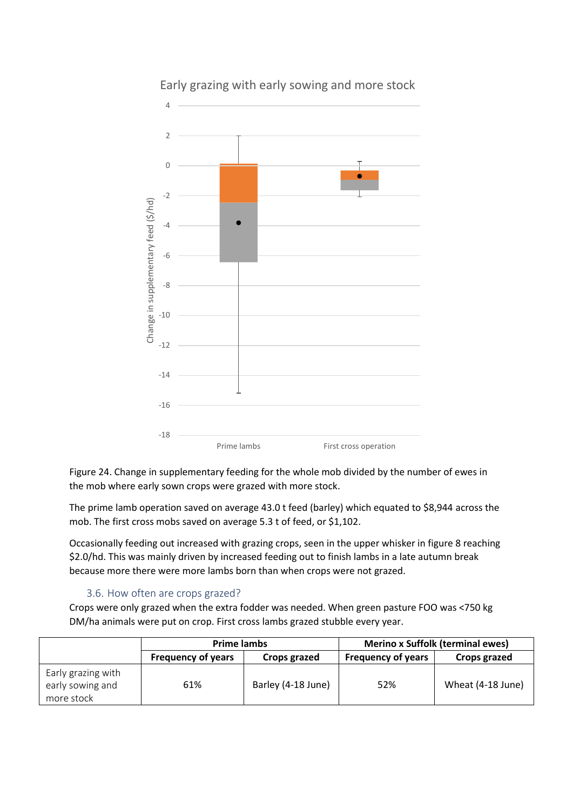

Early grazing with early sowing and more stock

Figure 24. Change in supplementary feeding for the whole mob divided by the number of ewes in the mob where early sown crops were grazed with more stock.

The prime lamb operation saved on average 43.0 t feed (barley) which equated to \$8,944 across the mob. The first cross mobs saved on average 5.3 t of feed, or \$1,102.

Occasionally feeding out increased with grazing crops, seen in the upper whisker in figure 8 reaching \$2.0/hd. This was mainly driven by increased feeding out to finish lambs in a late autumn break because more there were more lambs born than when crops were not grazed.

#### 3.6. How often are crops grazed?

Crops were only grazed when the extra fodder was needed. When green pasture FOO was <750 kg DM/ha animals were put on crop. First cross lambs grazed stubble every year.

|                                                      | <b>Prime lambs</b>        |                    | <b>Merino x Suffolk (terminal ewes)</b> |                   |
|------------------------------------------------------|---------------------------|--------------------|-----------------------------------------|-------------------|
|                                                      | <b>Frequency of years</b> | Crops grazed       | <b>Frequency of years</b>               | Crops grazed      |
| Early grazing with<br>early sowing and<br>more stock | 61%                       | Barley (4-18 June) | 52%                                     | Wheat (4-18 June) |